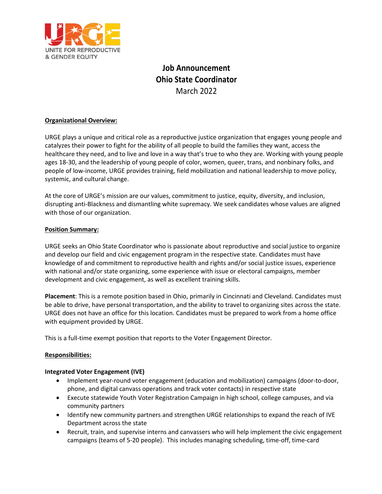

# **Job Announcement Ohio State Coordinator** March 2022

# **Organizational Overview:**

URGE plays a unique and critical role as a reproductive justice organization that engages young people and catalyzes their power to fight for the ability of all people to build the families they want, access the healthcare they need, and to live and love in a way that's true to who they are. Working with young people ages 18-30, and the leadership of young people of color, women, queer, trans, and nonbinary folks, and people of low-income, URGE provides training, field mobilization and national leadership to move policy, systemic, and cultural change.

At the core of URGE's mission are our values, commitment to justice, equity, diversity, and inclusion, disrupting anti-Blackness and dismantling white supremacy. We seek candidates whose values are aligned with those of our organization.

## **Position Summary:**

URGE seeks an Ohio State Coordinator who is passionate about reproductive and social justice to organize and develop our field and civic engagement program in the respective state. Candidates must have knowledge of and commitment to reproductive health and rights and/or social justice issues, experience with national and/or state organizing, some experience with issue or electoral campaigns, member development and civic engagement, as well as excellent training skills.

**Placement**: This is a remote position based in Ohio, primarily in Cincinnati and Cleveland. Candidates must be able to drive, have personal transportation, and the ability to travel to organizing sites across the state. URGE does not have an office for this location. Candidates must be prepared to work from a home office with equipment provided by URGE.

This is a full-time exempt position that reports to the Voter Engagement Director.

## **Responsibilities:**

#### **Integrated Voter Engagement (IVE)**

- Implement year-round voter engagement (education and mobilization) campaigns (door-to-door, phone, and digital canvass operations and track voter contacts) in respective state
- Execute statewide Youth Voter Registration Campaign in high school, college campuses, and via community partners
- Identify new community partners and strengthen URGE relationships to expand the reach of IVE Department across the state
- Recruit, train, and supervise interns and canvassers who will help implement the civic engagement campaigns (teams of 5-20 people). This includes managing scheduling, time-off, time-card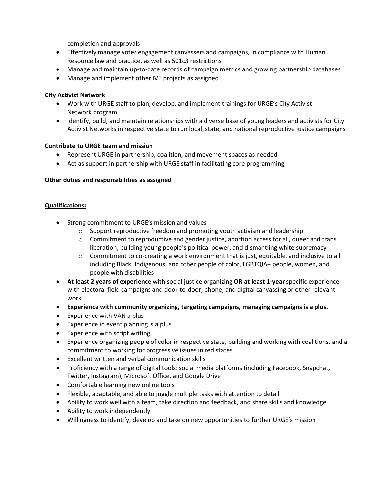completion and approvals

- Effectively manage voter engagement canvassers and campaigns, in compliance with Human Resource law and practice, as well as 501c3 restrictions
- Manage and maintain up-to-date records of campaign metrics and growing partnership databases
- Manage and implement other IVE projects as assigned

## **City Activist Network**

- Work with URGE staff to plan, develop, and implement trainings for URGE's City Activist Network program
- Identify, build, and maintain relationships with a diverse base of young leaders and activists for City Activist Networks in respective state to run local, state, and national reproductive justice campaigns

# **Contribute to URGE team and mission**

- Represent URGE in partnership, coalition, and movement spaces as needed
- Act as support in partnership with URGE staff in facilitating core programming

# **Other duties and responsibilities as assigned**

## **Qualifications:**

- Strong commitment to URGE's mission and values
	- $\circ$  Support reproductive freedom and promoting youth activism and leadership
	- $\circ$  Commitment to reproductive and gender justice, abortion access for all, queer and trans liberation, building young people's political power, and dismantling white supremacy
	- $\circ$  Commitment to co-creating a work environment that is just, equitable, and inclusive to all, including Black, Indigenous, and other people of color, LGBTQIA+ people, women, and people with disabilities
- **At least 2 years of experience** with social justice organizing **OR at least 1-year** specific experience with electoral field campaigns and door-to-door, phone, and digital canvassing or other relevant work
- **Experience with community organizing, targeting campaigns, managing campaigns is a plus.**
- Experience with VAN a plus
- Experience in event planning is a plus
- Experience with script writing
- Experience organizing people of color in respective state, building and working with coalitions, and a commitment to working for progressive issues in red states
- Excellent written and verbal communication skills
- Proficiency with a range of digital tools: social media platforms (including Facebook, Snapchat, Twitter, Instagram), Microsoft Office, and Google Drive
- Comfortable learning new online tools
- Flexible, adaptable, and able to juggle multiple tasks with attention to detail
- Ability to work well with a team, take direction and feedback, and share skills and knowledge
- Ability to work independently
- Willingness to identify, develop and take on new opportunities to further URGE's mission